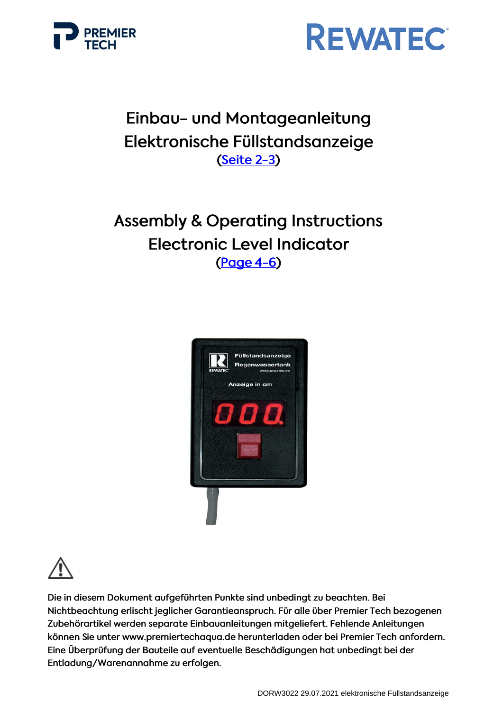



# Einbau- und Montageanleitung Elektronische Füllstandsanzeige (Seite 2-3)

# **Assembly & Operating Instructions Electronic Level Indicator** (Page 4-6)



Die in diesem Dokument aufgeführten Punkte sind unbedingt zu beachten. Bei Nichtbeachtung erlischt jeglicher Garantieanspruch. Für alle über Premier Tech bezogenen Zubehörartikel werden separate Einbauanleitungen mitgeliefert. Fehlende Anleitungen können Sie unter www.premiertechaqua.de herunterladen oder bei Premier Tech anfordern. Eine Überprüfung der Bauteile auf eventuelle Beschädigungen hat unbedingt bei der Entladung/Warenannahme zu erfolgen.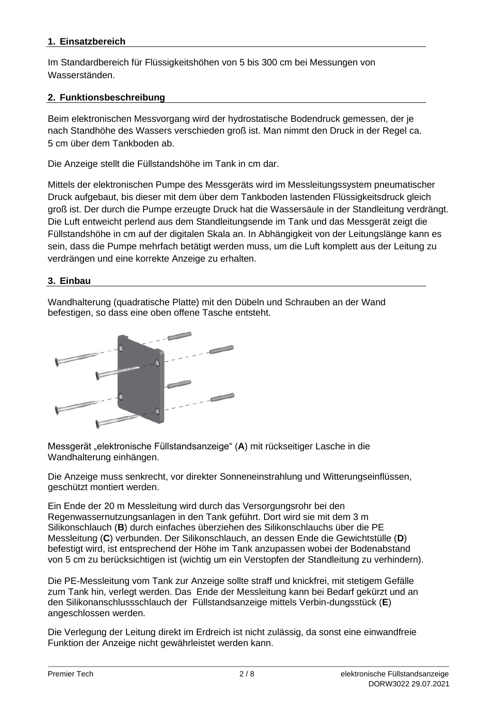# **1. Einsatzbereich**

Im Standardbereich für Flüssigkeitshöhen von 5 bis 300 cm bei Messungen von Wasserständen.

# **2. Funktionsbeschreibung**

Beim elektronischen Messvorgang wird der hydrostatische Bodendruck gemessen, der je nach Standhöhe des Wassers verschieden groß ist. Man nimmt den Druck in der Regel ca. 5 cm über dem Tankboden ab.

Die Anzeige stellt die Füllstandshöhe im Tank in cm dar.

Mittels der elektronischen Pumpe des Messgeräts wird im Messleitungssystem pneumatischer Druck aufgebaut, bis dieser mit dem über dem Tankboden lastenden Flüssigkeitsdruck gleich groß ist. Der durch die Pumpe erzeugte Druck hat die Wassersäule in der Standleitung verdrängt. Die Luft entweicht perlend aus dem Standleitungsende im Tank und das Messgerät zeigt die Füllstandshöhe in cm auf der digitalen Skala an. In Abhängigkeit von der Leitungslänge kann es sein, dass die Pumpe mehrfach betätigt werden muss, um die Luft komplett aus der Leitung zu verdrängen und eine korrekte Anzeige zu erhalten.

## **3. Einbau**

Wandhalterung (quadratische Platte) mit den Dübeln und Schrauben an der Wand befestigen, so dass eine oben offene Tasche entsteht.



Messgerät "elektronische Füllstandsanzeige" (**A**) mit rückseitiger Lasche in die Wandhalterung einhängen.

Die Anzeige muss senkrecht, vor direkter Sonneneinstrahlung und Witterungseinflüssen, geschützt montiert werden.

Ein Ende der 20 m Messleitung wird durch das Versorgungsrohr bei den Regenwassernutzungsanlagen in den Tank geführt. Dort wird sie mit dem 3 m Silikonschlauch (**B**) durch einfaches überziehen des Silikonschlauchs über die PE Messleitung (**C**) verbunden. Der Silikonschlauch, an dessen Ende die Gewichtstülle (**D**) befestigt wird, ist entsprechend der Höhe im Tank anzupassen wobei der Bodenabstand von 5 cm zu berücksichtigen ist (wichtig um ein Verstopfen der Standleitung zu verhindern).

Die PE-Messleitung vom Tank zur Anzeige sollte straff und knickfrei, mit stetigem Gefälle zum Tank hin, verlegt werden. Das Ende der Messleitung kann bei Bedarf gekürzt und an den Silikonanschlussschlauch der Füllstandsanzeige mittels Verbin-dungsstück (**E**) angeschlossen werden.

Die Verlegung der Leitung direkt im Erdreich ist nicht zulässig, da sonst eine einwandfreie Funktion der Anzeige nicht gewährleistet werden kann.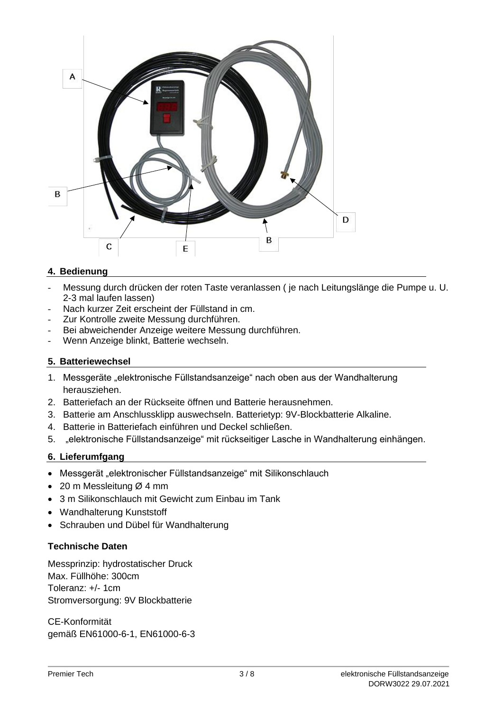

## **4. Bedienung**

- Messung durch drücken der roten Taste veranlassen ( je nach Leitungslänge die Pumpe u. U. 2-3 mal laufen lassen)
- Nach kurzer Zeit erscheint der Füllstand in cm.
- Zur Kontrolle zweite Messung durchführen.
- Bei abweichender Anzeige weitere Messung durchführen.
- Wenn Anzeige blinkt. Batterie wechseln.

#### **5. Batteriewechsel**

- 1. Messgeräte "elektronische Füllstandsanzeige" nach oben aus der Wandhalterung herausziehen.
- 2. Batteriefach an der Rückseite öffnen und Batterie herausnehmen.
- 3. Batterie am Anschlussklipp auswechseln. Batterietyp: 9V-Blockbatterie Alkaline.
- 4. Batterie in Batteriefach einführen und Deckel schließen.
- 5. "elektronische Füllstandsanzeige" mit rückseitiger Lasche in Wandhalterung einhängen.

#### **6. Lieferumfgang**

- Messgerät "elektronischer Füllstandsanzeige" mit Silikonschlauch
- 20 m Messleitung Ø 4 mm
- 3 m Silikonschlauch mit Gewicht zum Einbau im Tank
- Wandhalterung Kunststoff
- Schrauben und Dübel für Wandhalterung

#### **Technische Daten**

Messprinzip: hydrostatischer Druck Max. Füllhöhe: 300cm Toleranz: +/- 1cm Stromversorgung: 9V Blockbatterie

CE-Konformität gemäß EN61000-6-1, EN61000-6-3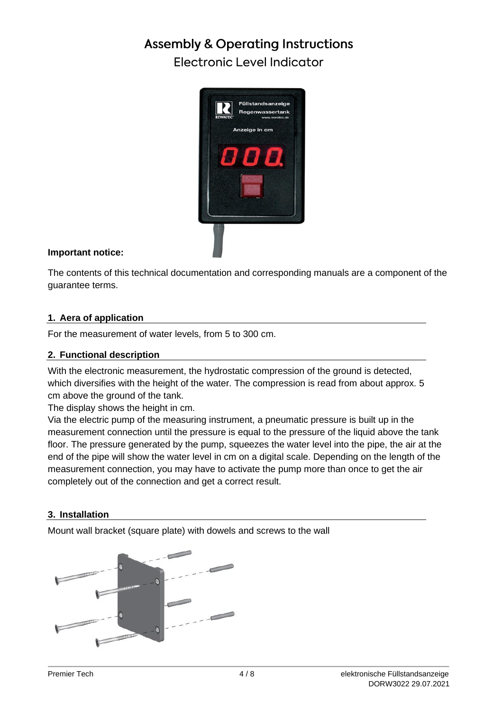# **Assembly & Operating Instructions** Electronic Level Indicator



## **Important notice:**

The contents of this technical documentation and corresponding manuals are a component of the guarantee terms.

#### **1. Aera of application**

For the measurement of water levels, from 5 to 300 cm.

#### **2. Functional description**

With the electronic measurement, the hydrostatic compression of the ground is detected, which diversifies with the height of the water. The compression is read from about approx. 5 cm above the ground of the tank.

The display shows the height in cm.

Via the electric pump of the measuring instrument, a pneumatic pressure is built up in the measurement connection until the pressure is equal to the pressure of the liquid above the tank floor. The pressure generated by the pump, squeezes the water level into the pipe, the air at the end of the pipe will show the water level in cm on a digital scale. Depending on the length of the measurement connection, you may have to activate the pump more than once to get the air completely out of the connection and get a correct result.

#### **3. Installation**

Mount wall bracket (square plate) with dowels and screws to the wall

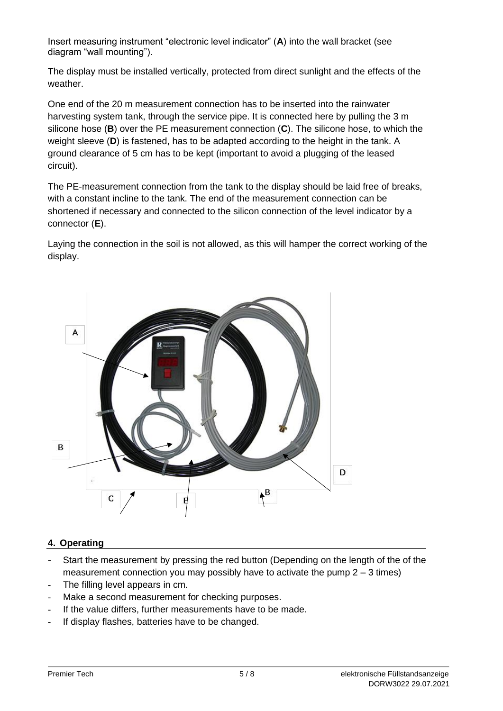Insert measuring instrument "electronic level indicator" (**A**) into the wall bracket (see diagram "wall mounting").

The display must be installed vertically, protected from direct sunlight and the effects of the weather.

One end of the 20 m measurement connection has to be inserted into the rainwater harvesting system tank, through the service pipe. It is connected here by pulling the 3 m silicone hose (**B**) over the PE measurement connection (**C**). The silicone hose, to which the weight sleeve (**D**) is fastened, has to be adapted according to the height in the tank. A ground clearance of 5 cm has to be kept (important to avoid a plugging of the leased circuit).

The PE-measurement connection from the tank to the display should be laid free of breaks, with a constant incline to the tank. The end of the measurement connection can be shortened if necessary and connected to the silicon connection of the level indicator by a connector (**E**).

Laying the connection in the soil is not allowed, as this will hamper the correct working of the display.



## **4. Operating**

- Start the measurement by pressing the red button (Depending on the length of the of the measurement connection you may possibly have to activate the pump  $2 - 3$  times)
- The filling level appears in cm.
- Make a second measurement for checking purposes.
- If the value differs, further measurements have to be made.
- If display flashes, batteries have to be changed.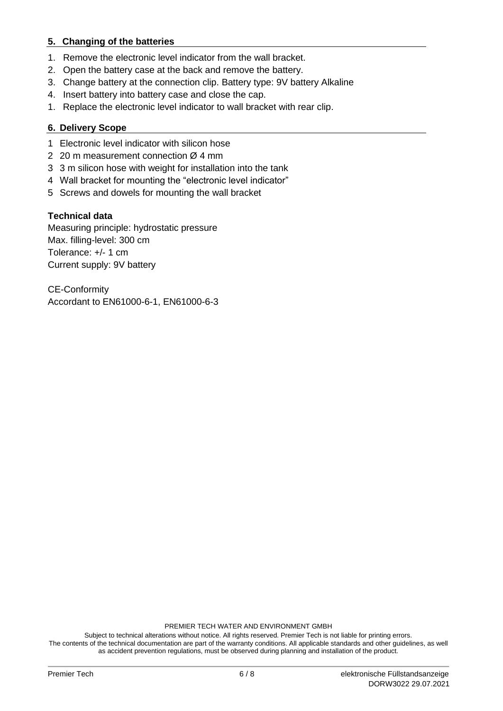#### **5. Changing of the batteries**

- 1. Remove the electronic level indicator from the wall bracket.
- 2. Open the battery case at the back and remove the battery.
- 3. Change battery at the connection clip. Battery type: 9V battery Alkaline
- 4. Insert battery into battery case and close the cap.
- 1. Replace the electronic level indicator to wall bracket with rear clip.

## **6. Delivery Scope**

- 1 Electronic level indicator with silicon hose
- 2 20 m measurement connection Ø 4 mm
- 3 3 m silicon hose with weight for installation into the tank
- 4 Wall bracket for mounting the "electronic level indicator"
- 5 Screws and dowels for mounting the wall bracket

## **Technical data**

Measuring principle: hydrostatic pressure Max. filling-level: 300 cm Tolerance: +/- 1 cm Current supply: 9V battery

CE-Conformity Accordant to EN61000-6-1, EN61000-6-3

PREMIER TECH WATER AND ENVIRONMENT GMBH

Subject to technical alterations without notice. All rights reserved. Premier Tech is not liable for printing errors. The contents of the technical documentation are part of the warranty conditions. All applicable standards and other guidelines, as well as accident prevention regulations, must be observed during planning and installation of the product.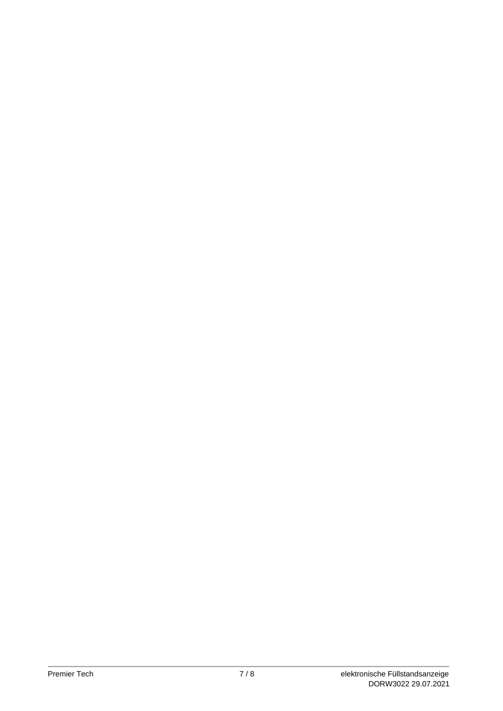$7/8$